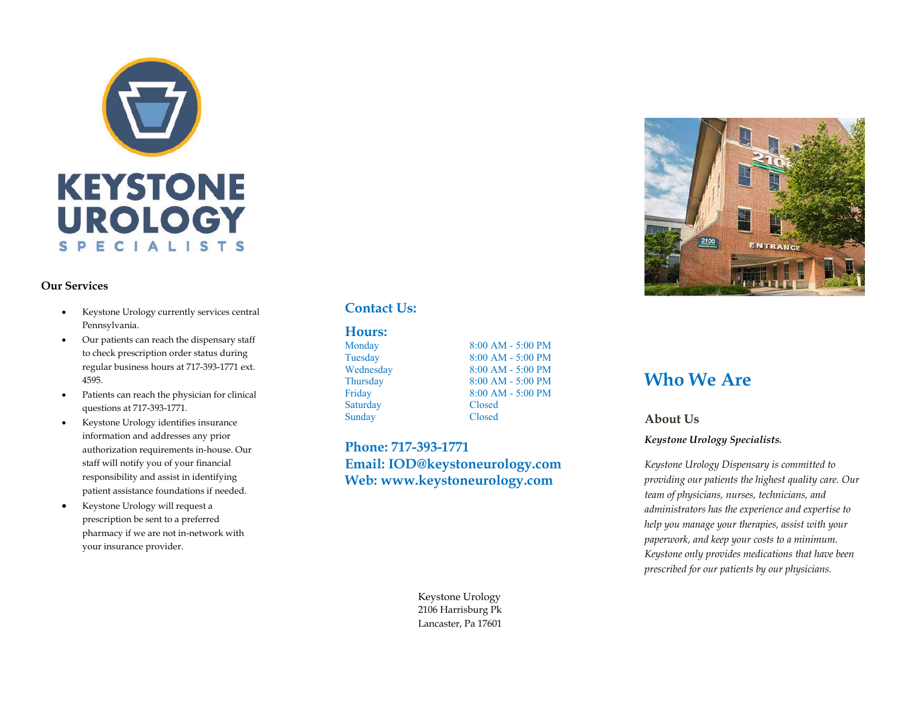

#### **Our Services**

- Keystone Urology currently services central Pennsylvania.
- Our patients can reach the dispensary staff to check prescription order status during regular business hours at 717 -393 -1771 ext. 4595.
- Patients can reach the physician for clinical questions at 717 -393 -1771.
- Keystone Urology identifies insurance information and addresses any prior authorization requirements in -house. Our staff will notify you of your financial responsibility and assist in identifying patient assistance foundations if needed.
- Keystone Urology will request a prescription be sent to a preferred pharmacy if we are not in -network with your insurance provider.

#### **Contact Us:**

#### **Hours:**

Monday 8:00 AM - 5:00 PM Tuesday 8:00 AM - 5:00 PM Wednesday 8:00 AM - 5:00 PM Thursday 8:00 AM - 5:00 PM Friday 8:00 AM - 5:00 PM Saturday Closed Sunday Closed

**Phone: 717-393-1771 Email: IOD@keystoneurology.com Web: www.keystoneurology.com**





### **Who We Are**

#### **About Us**

*Keystone Urology Specialists.* 

*Keystone Urology Dispensary is committed to providing our patients the highest quality care. Our team of physicians, nurses, technicians, and administrators has the experience and expertise to help you manage your therapies, assist with your paperwork, and keep your costs to a minimum. Keystone only provides medications that have been prescribed for our patients by our physicians.*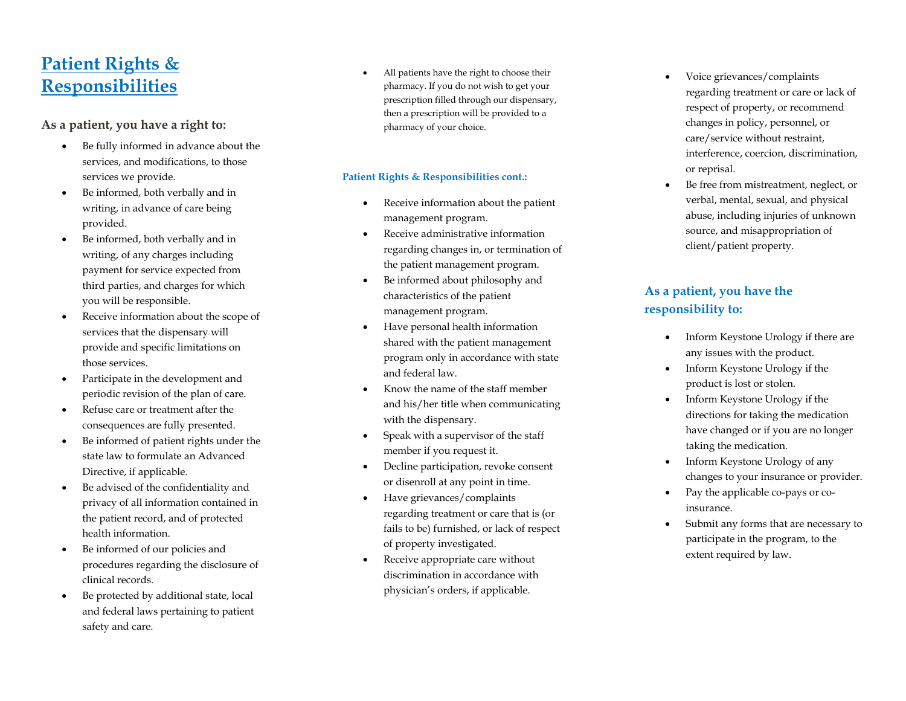# **Patient Rights & Responsibilities**

#### **As a patient, you have a right to:**

- Be fully informed in advance about the services, and modifications, to those services we provide.
- Be informed, both verbally and in writing, in advance of care being provided.
- Be informed, both verbally and in writing, of any charges including payment for service expected from third parties, and charges for which you will be responsible.
- Receive information about the scope of services that the dispensary will provide and specific limitations on those services.
- Participate in the development and periodic revision of the plan of care.
- Refuse care or treatment after the consequences are fully presented.
- Be informed of patient rights under the state law to formulate an Advanced Directive, if applicable.
- Be advised of the confidentiality and privacy of all information contained in the patient record, and of protected health information.
- Be informed of our policies and procedures regarding the disclosure of clinical records.
- Be protected by additional state, local and federal laws pertaining to patient safety and care.

• All patients have the right to choose their pharmacy. If you do not wish to get your prescription filled through our dispensary, then a prescription will be provided to a pharmacy of your choice.

#### **Patient Rights & Responsibilities cont.:**

- Receive information about the patient management program.
- Receive administrative information regarding changes in, or termination of the patient management program.
- Be informed about philosophy and characteristics of the patient management program.
- Have personal health information shared with the patient management program only in accordance with state and federal law.
- Know the name of the staff member and his/her title when communicating with the dispensary.
- Speak with a supervisor of the staff member if you request it.
- Decline participation, revoke consent or disenroll at any point in time.
- Have grievances/complaints regarding treatment or care that is (or fails to be) furnished, or lack of respect of property investigated.
- Receive appropriate care without discrimination in accordance with physician's orders, if applicable .
- Voice grievances/complaints regarding treatment or care or lack of respect of property, or recommend changes in policy, personnel, or care/service without restraint, interference, coercion, discrimination, or reprisal.
- Be free from mistreatment, neglect, or verbal, mental, sexual, and physical abuse, including injuries of unknown source, and misappropriation of client/patient property.

#### **As a patient, you have the responsibility to:**

- Inform Keystone Urology if there are any issues with the product.
- Inform Keystone Urology if the product is lost or stolen.
- Inform Keystone Urology if the directions for taking the medication have changed or if you are no longer taking the medication.
- Inform Keystone Urology of any changes to your insurance or provider .
- Pay the applicable co-pays or coinsurance.
- Submit any forms that are necessary to participate in the program, to the extent required by law.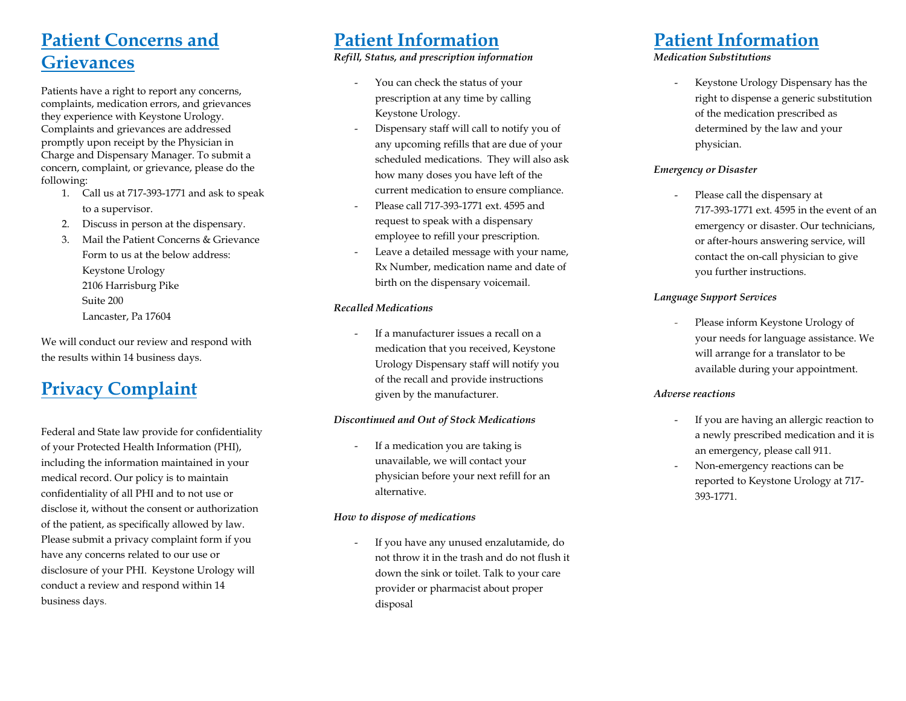# **Patient Concerns and Grievances**

Patients have a right to report any concerns, complaints, medication errors, and grievances they experience with Keystone Urology. Complaints and grievances are addressed promptly upon receipt by the Physician in Charge and Dispensary Manager. To submit a concern, complaint, or grievance, please do the following:

- 1. Call us at 717-393-1771 and ask to speak to a supervisor.
- 2. Discuss in person at the dispensary.
- 3. Mail the Patient Concerns & Grievance Form to us at the below address: Keystone Urology 2106 Harrisburg Pike Suite 200 Lancaster, Pa 17604

We will conduct our review and respond with the results within 14 business days.

# **Privacy Complaint**

Federal and State law provide for confidentiality of your Protected Health Information (PHI), including the information maintained in your medical record. Our policy is to maintain confidentiality of all PHI and to not use or disclose it, without the consent or authorization of the patient, as specifically allowed by law. Please submit a privacy complaint form if you have any concerns related to our use or disclosure of your PHI. Keystone Urology will conduct a review and respond within 14 business days.

## **Patient Information**

#### *Refill, Status, and prescription information*

- You can check the status of your prescription at any time by calling Keystone Urology.
- Dispensary staff will call to notify you of any upcoming refills that are due of your scheduled medications. They will also ask how many doses you have left of the current medication to ensure compliance.
- Please call 717-393-1771 ext. 4595 and request to speak with a dispensary employee to refill your prescription.
- Leave a detailed message with your name, Rx Number, medication name and date of birth on the dispensary voicemail.

#### *Recalled Medications*

- If a manufacturer issues a recall on a medication that you received, Keystone Urology Dispensary staff will notify you of the recall and provide instructions given by the manufacturer.

#### *Discontinued and Out of Stock Medications*

- If a medication you are taking is unavailable, we will contact your physician before your next refill for an alternative.

#### *How to dispose of medications*

- If you have any unused enzalutamide, do not throw it in the trash and do not flush it down the sink or toilet. Talk to your care provider or pharmacist about proper disposal

# **Patient Information**

#### *Medication Substitutions*

- Keystone Urology Dispensary has the right to dispense a generic substitution of the medication prescribed as determined by the law and your physician.

#### *Emergency or Disaster*

Please call the dispensary at 717-393-1771 ext. 4595 in the event of an emergency or disaster. Our technicians, or after-hours answering service, will contact the on-call physician to give you further instructions.

#### *Language Support Services*

Please inform Keystone Urology of your needs for language assistance. We will arrange for a translator to be available during your appointment.

#### *Adverse reactions*

- If you are having an allergic reaction to a newly prescribed medication and it is an emergency, please call 911.
- Non-emergency reactions can be reported to Keystone Urology at 717- 393-1771.